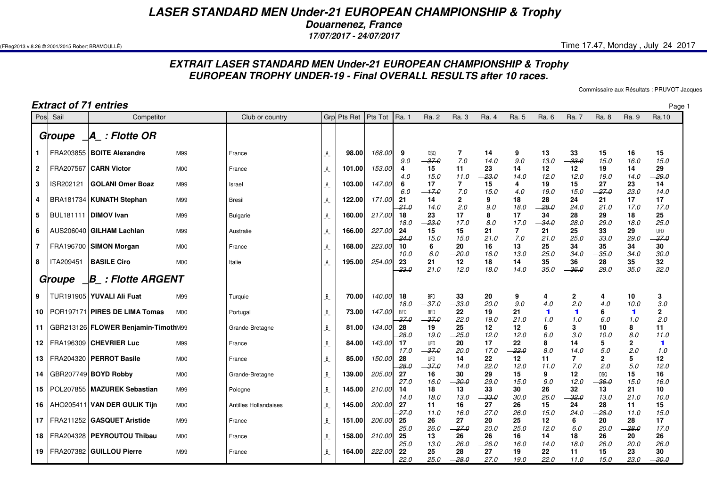## *LASER STANDARD MEN Under-21 EUROPEAN CHAMPIONSHIP & Trophy*

*Douarnenez, France*

*17/07/2017 - 24/07/2017*

 $($ FReg2013 v.8.26 © 2001/2015 Robert BRAMOULLÉ)  $\,$  Time 17.47, Monday , July 24 2017

## *EXTRAIT LASER STANDARD MEN Under-21 EUROPEAN CHAMPIONSHIP & TrophyEUROPEAN TROPHY UNDER-19 - Final OVERALL RESULTS after 10 races.*

Commissaire aux Résultats : PRUVOT Jacques

| <b>Extract of 71 entries</b> |                        |                                     |                |                       |                         |                       |        |                    |                               |                           |                       |                       | Page               |                               |                     |                    |                       |
|------------------------------|------------------------|-------------------------------------|----------------|-----------------------|-------------------------|-----------------------|--------|--------------------|-------------------------------|---------------------------|-----------------------|-----------------------|--------------------|-------------------------------|---------------------|--------------------|-----------------------|
| Posl                         | Sail                   | Competitor                          |                | Club or country       |                         | Grp Pts Ret   Pts Tot |        | Ra. 1              | Ra. 2                         | Ra. 3                     | Ra. 4                 | Ra. 5                 | Ra. 6              | Ra. 7                         | Ra. 8               | Ra. 9              | Ra.10                 |
|                              | Groupe                 | $\Box A_$ : Flotte OR               |                |                       |                         |                       |        |                    |                               |                           |                       |                       |                    |                               |                     |                    |                       |
| 1.                           |                        | FRA203855   BOITE Alexandre         | M99            | France                | $\mathbb A$             | 98.00                 | 168.00 | 9<br>9.0           | <b>DSQ</b><br>$-37.0$         | 7<br>7.0                  | 14<br>14.0            | 9<br>9.0              | 13<br>13.0         | 33<br>$-33.0$                 | 15<br>15.0          | 16<br>16.0         | 15<br>15.0            |
| $\mathbf{2}$                 |                        | FRA207567 CARN Victor               | M <sub>0</sub> | France                | $\mathsf{A}\mathsf{A}$  | 101.00                | 153.00 | 4<br>4.0           | 15<br>15.0                    | 11<br>11.0                | 23<br>23.0            | 14<br>14.0            | 12<br>12.0         | 12<br>12.0                    | 19<br>19.0          | 14<br>14.0         | 29<br>$-29.0$         |
| 3                            | ISR202121              | <b>GOLANI Omer Boaz</b>             | M99            | Israel                | A                       | 103.00                | 147.00 | 6<br>6.0           | 17<br>$-17.0$                 | $\overline{7}$<br>7.0     | 15<br>15.0            | 4<br>4.0              | 19<br>19.0         | 15<br>15.0                    | 27<br>$-27.0$       | 23<br>23.0         | 14<br>14.0            |
| 4                            |                        | BRA181734   KUNATH Stephan          | M99            | <b>Bresil</b>         | А                       | 122.00                | 171.00 | 21<br>$-21.0$      | 14<br>14.0                    | $\overline{2}$<br>2.0     | 9<br>9.0              | 18<br>18.0            | 28<br>$-28.0$      | 24<br>24.0                    | 21<br>21.0          | 17<br>17.0         | 17<br>17.0            |
| 5                            | BUL181111   DIMOV Ivan |                                     | M99            | <b>Bulgarie</b>       | A                       | 160.00                | 217.00 | 18<br>18.0         | 23<br>$-23.0$                 | 17<br>17.0                | 8<br>8.0              | 17<br>17.0            | 34<br>$-34.0$      | 28<br>28.0                    | 29<br>29.0          | 18<br>18.0         | 25<br>25.0            |
| 6                            |                        | AUS206040 GILHAM Lachlan            | M99            | Australie             | $\mathsf{A}\mathsf{A}$  | 166.00                | 227.00 | 24<br>24.0         | 15<br>15.0                    | 15<br>15.0                | 21<br>21.0            | $\overline{7}$<br>7.0 | 21<br>21.0         | 25<br>25.0                    | 33<br>33.0          | 29<br>29.0         | <b>UFD</b><br>$-37.0$ |
| $\overline{7}$               |                        | FRA196700 SIMON Morgan              | M <sub>0</sub> | France                | А                       | 168.00                | 223.00 | 10<br>10.0         | 6<br>6.0                      | 20<br>$-20.0$             | 16<br>16.0            | 13<br>13.0            | 25<br>25.0         | 34<br>34.0                    | 35<br>$-35.0$       | 34<br>34.0         | 30<br>30.0            |
| 8                            | <b>ITA209451</b>       | <b>BASILE Ciro</b>                  | M <sub>0</sub> | Italie                | A                       | 195.00                | 254.00 | 23<br>$-23.0$      | 21<br>21.0                    | 12<br>12.0                | 18<br>18.0            | 14<br>14.0            | 35<br>35.0         | 36<br>$-36.0$                 | 28<br>28.0          | 35<br>35.0         | 32<br>32.0            |
|                              | Groupe                 | _B_ : Flotte ARGENT                 |                |                       |                         |                       |        |                    |                               |                           |                       |                       |                    |                               |                     |                    |                       |
| 9                            |                        | TUR191905   YUVALI Ali Fuat         | M99            | Turquie               | $\overline{\mathsf{B}}$ | 70.00                 | 140.00 | 18<br>18.0         | <b>BFD</b><br>$-37.0$         | 33<br>$-33.0$             | 20<br>20.0            | 9<br>9.0              | 4<br>4.0           | $\mathbf{2}$<br>2.0           | 4<br>4.0            | 10<br>10.0         | 3<br>3.0              |
| 10                           |                        | POR197171 PIRES DE LIMA Tomas       | M <sub>0</sub> | Portugal              | $B_{-}$                 | 73.00                 | 147.00 | <b>BFD</b><br>37.0 | <b>BFD</b><br>$-37.0$         | 22<br>22.0                | 19<br>19.0            | 21<br>21.0            | $\mathbf 1$<br>1.0 | 1<br>1.0                      | 6<br>6.0            | $\mathbf 1$<br>1.0 | $\mathbf{2}$<br>2.0   |
| 11                           |                        | GBR213126 FLOWER Benjamin-TimothM99 |                | Grande-Bretagne       | $B_{-}$                 | 81.00                 | 134.00 | 28<br>$-28.0$      | 19                            | 25                        | 12<br>12.0            | 12<br>12.0            | 6<br>6.0           | 3<br>3.0                      | 10                  | 8<br>8.0           | 11                    |
| 12                           |                        | <b>IFRA196309 CHEVRIER Luc</b>      | M99            | France                | $B_{-}$                 | 84.00                 | 143.00 | 17<br>17.0         | 19.0<br><b>UFD</b><br>$-37.0$ | $-25.0$<br>20             | 17<br>17.0            | 22<br>$-22.0$         | 8<br>8.0           | 14                            | 10.0<br>5<br>5.0    | 2<br>2.0           | 11.0<br>1<br>1.0      |
| 13                           |                        | FRA204320   PERROT Basile           | M <sub>0</sub> | France                | $B_{-}$                 | 85.00                 | 150.00 | 28<br>$-28.0$      | <b>UFD</b><br>$-37.0$         | <i>20.0</i><br>14<br>14.0 | 22<br>22.0            | 12<br>12.0            | 11<br>11.0         | 14.0<br>$\overline{7}$<br>7.0 | $\mathbf{2}$<br>2.0 | 5<br>5.0           | 12<br>12.0            |
| 14                           |                        | GBR207749 BOYD Robby                | M <sub>0</sub> | Grande-Bretagne       | $B_{-}$                 | 139.00                | 205.00 | 27<br>27.0         | 16                            | 30<br>$-30.0$             | 29<br>29.0            | 15<br>15.0            | 9<br>9.0           | 12<br>12.0                    | <b>DSQ</b><br>-36.0 | 15<br>15.0         | 16                    |
| 15                           |                        | POL207855   MAZUREK Sebastian       | M99            | Pologne               | $B_{-}$                 | 145.00                | 210.00 | 14<br>14.0         | 16.0<br>18                    | 13                        | 33<br>$-33.0$         | 30                    | 26<br>26.0         | 32<br>$-32.0$                 | 13                  | 21                 | 16.0<br>10<br>10.0    |
|                              |                        | 16   AHO205411   VAN DER GULIK Tijn | M <sub>0</sub> | Antilles Hollandaises | $B_{-}$                 | 145.00                | 200.00 | 27<br>27.0         | 18.0<br>11<br>11.0            | 13.0<br>16<br>16.0        | 27<br>27.0            | 30.0<br>26<br>26.0    | 15<br>15.0         | 24<br>24.0                    | 13.0<br>28<br>28.0  | 21.0<br>11<br>11.0 | 15<br>15.0            |
|                              |                        | 17   FRA211252   GASQUET Aristide   | M99            | France                | $B_{-}$                 | 151.00                | 206.00 | 25<br>25.0         | 26<br>26.0                    | 27<br>$-27.0$             | 20<br>20.0            | 25<br>25.0            | 12<br>12.0         | 6                             | 20<br>20.0          | 28<br>$-28.0$      | 17<br>17.0            |
| 18                           |                        | <b>FRA204328   PEYROUTOU Thibau</b> | M <sub>0</sub> | France                | $\overline{B}$          | 158.00                | 210.00 | 25                 | 13                            | 26                        | 26                    | 16                    | 14                 | 6.0<br>18                     | 26                  | 20                 | 26                    |
| 19                           |                        | FRA207382 GUILLOU Pierre            | M99            | France                | $B_{-}$                 | 164.00                | 222.00 | 25.0<br>22<br>22.0 | 13.0<br>25<br>25.0            | $-26.0$<br>28<br>$-28.0$  | $-26.0$<br>27<br>27.0 | 16.0<br>19<br>19.0    | 14.0<br>22<br>22.0 | 18.0<br>11<br>11.0            | 26.0<br>15<br>15.0  | 20.0<br>23<br>23.0 | 26.0<br>30<br>$-30.0$ |
|                              |                        |                                     |                |                       |                         |                       |        |                    |                               |                           |                       |                       |                    |                               |                     |                    |                       |